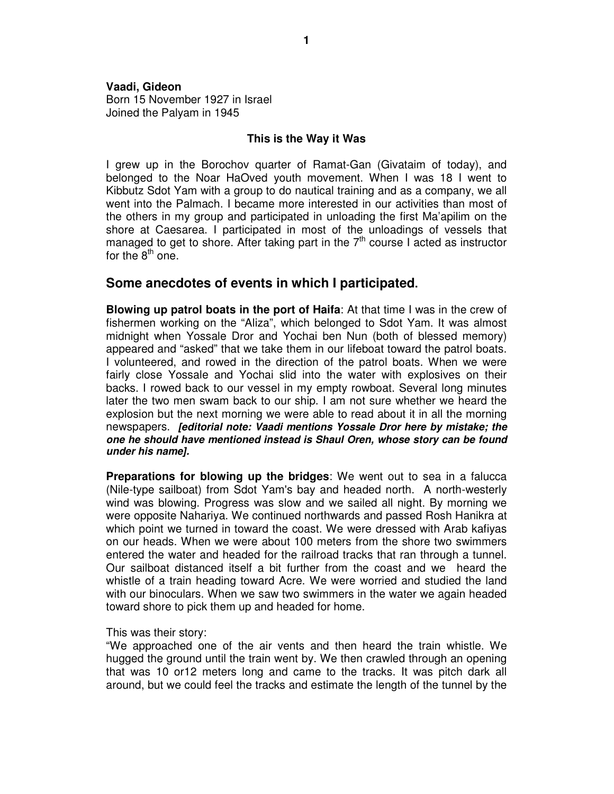## **Vaadi, Gideon**  Born 15 November 1927 in Israel

Joined the Palyam in 1945

## **This is the Way it Was**

I grew up in the Borochov quarter of Ramat-Gan (Givataim of today), and belonged to the Noar HaOved youth movement. When I was 18 I went to Kibbutz Sdot Yam with a group to do nautical training and as a company, we all went into the Palmach. I became more interested in our activities than most of the others in my group and participated in unloading the first Ma'apilim on the shore at Caesarea. I participated in most of the unloadings of vessels that managed to get to shore. After taking part in the  $7<sup>th</sup>$  course I acted as instructor for the  $8<sup>th</sup>$  one.

## **Some anecdotes of events in which I participated.**

**Blowing up patrol boats in the port of Haifa**: At that time I was in the crew of fishermen working on the "Aliza", which belonged to Sdot Yam. It was almost midnight when Yossale Dror and Yochai ben Nun (both of blessed memory) appeared and "asked" that we take them in our lifeboat toward the patrol boats. I volunteered, and rowed in the direction of the patrol boats. When we were fairly close Yossale and Yochai slid into the water with explosives on their backs. I rowed back to our vessel in my empty rowboat. Several long minutes later the two men swam back to our ship. I am not sure whether we heard the explosion but the next morning we were able to read about it in all the morning newspapers. **[editorial note: Vaadi mentions Yossale Dror here by mistake; the one he should have mentioned instead is Shaul Oren, whose story can be found under his name].**

**Preparations for blowing up the bridges**: We went out to sea in a falucca (Nile-type sailboat) from Sdot Yam's bay and headed north. A north-westerly wind was blowing. Progress was slow and we sailed all night. By morning we were opposite Nahariya. We continued northwards and passed Rosh Hanikra at which point we turned in toward the coast. We were dressed with Arab kafiyas on our heads. When we were about 100 meters from the shore two swimmers entered the water and headed for the railroad tracks that ran through a tunnel. Our sailboat distanced itself a bit further from the coast and we heard the whistle of a train heading toward Acre. We were worried and studied the land with our binoculars. When we saw two swimmers in the water we again headed toward shore to pick them up and headed for home.

## This was their story:

"We approached one of the air vents and then heard the train whistle. We hugged the ground until the train went by. We then crawled through an opening that was 10 or12 meters long and came to the tracks. It was pitch dark all around, but we could feel the tracks and estimate the length of the tunnel by the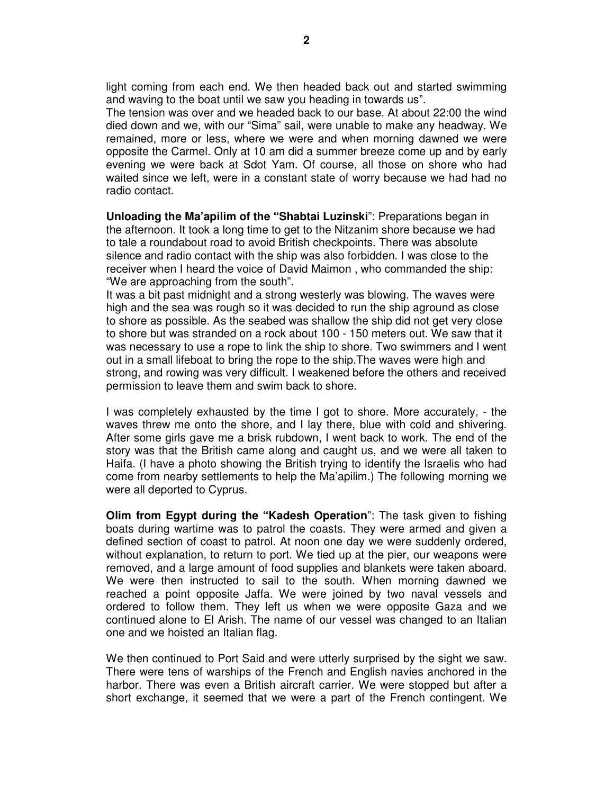light coming from each end. We then headed back out and started swimming and waving to the boat until we saw you heading in towards us".

The tension was over and we headed back to our base. At about 22:00 the wind died down and we, with our "Sima" sail, were unable to make any headway. We remained, more or less, where we were and when morning dawned we were opposite the Carmel. Only at 10 am did a summer breeze come up and by early evening we were back at Sdot Yam. Of course, all those on shore who had waited since we left, were in a constant state of worry because we had had no radio contact.

**Unloading the Ma'apilim of the "Shabtai Luzinski**": Preparations began in the afternoon. It took a long time to get to the Nitzanim shore because we had to tale a roundabout road to avoid British checkpoints. There was absolute silence and radio contact with the ship was also forbidden. I was close to the receiver when I heard the voice of David Maimon , who commanded the ship: "We are approaching from the south".

It was a bit past midnight and a strong westerly was blowing. The waves were high and the sea was rough so it was decided to run the ship aground as close to shore as possible. As the seabed was shallow the ship did not get very close to shore but was stranded on a rock about 100 - 150 meters out. We saw that it was necessary to use a rope to link the ship to shore. Two swimmers and I went out in a small lifeboat to bring the rope to the ship.The waves were high and strong, and rowing was very difficult. I weakened before the others and received permission to leave them and swim back to shore.

I was completely exhausted by the time I got to shore. More accurately, - the waves threw me onto the shore, and I lay there, blue with cold and shivering. After some girls gave me a brisk rubdown, I went back to work. The end of the story was that the British came along and caught us, and we were all taken to Haifa. (I have a photo showing the British trying to identify the Israelis who had come from nearby settlements to help the Ma'apilim.) The following morning we were all deported to Cyprus.

**Olim from Egypt during the "Kadesh Operation**": The task given to fishing boats during wartime was to patrol the coasts. They were armed and given a defined section of coast to patrol. At noon one day we were suddenly ordered, without explanation, to return to port. We tied up at the pier, our weapons were removed, and a large amount of food supplies and blankets were taken aboard. We were then instructed to sail to the south. When morning dawned we reached a point opposite Jaffa. We were joined by two naval vessels and ordered to follow them. They left us when we were opposite Gaza and we continued alone to El Arish. The name of our vessel was changed to an Italian one and we hoisted an Italian flag.

We then continued to Port Said and were utterly surprised by the sight we saw. There were tens of warships of the French and English navies anchored in the harbor. There was even a British aircraft carrier. We were stopped but after a short exchange, it seemed that we were a part of the French contingent. We